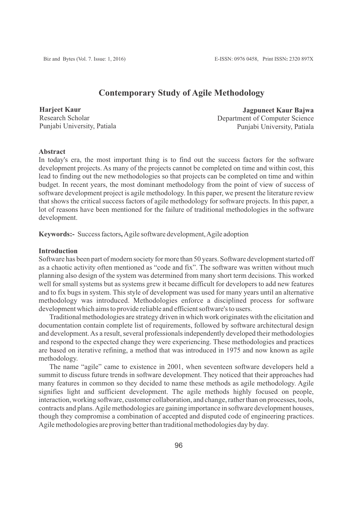# **Contemporary Study of Agile Methodology**

**Harjeet Kaur** Research Scholar Punjabi University, Patiala

**Jagpuneet Kaur Bajwa** Department of Computer Science Punjabi University, Patiala

## **Abstract**

In today's era, the most important thing is to find out the success factors for the software development projects. As many of the projects cannot be completed on time and within cost, this lead to finding out the new methodologies so that projects can be completed on time and within budget. In recent years, the most dominant methodology from the point of view of success of software development project is agile methodology. In this paper, we present the literature review that shows the critical success factors of agile methodology for software projects. In this paper, a lot of reasons have been mentioned for the failure of traditional methodologies in the software development.

**Keywords:-** Success factors**,** Agile software development, Agile adoption

#### **Introduction**

Software has been part of modern society for more than 50 years. Software development started off as a chaotic activity often mentioned as "code and fix". The software was written without much planning also design of the system was determined from many short term decisions. This worked well for small systems but as systems grew it became difficult for developers to add new features and to fix bugs in system. This style of development was used for many years until an alternative methodology was introduced. Methodologies enforce a disciplined process for software development which aims to provide reliable and efficient software's to users.

Traditional methodologies are strategy driven in which work originates with the elicitation and documentation contain complete list of requirements, followed by software architectural design and development. As a result, several professionals independently developed their methodologies and respond to the expected change they were experiencing. These methodologies and practices are based on iterative refining, a method that was introduced in 1975 and now known as agile methodology.

The name "agile" came to existence in 2001, when seventeen software developers held a summit to discuss future trends in software development. They noticed that their approaches had many features in common so they decided to name these methods as agile methodology. Agile signifies light and sufficient development. The agile methods highly focused on people, interaction, working software, customer collaboration, and change, rather than on processes, tools, contracts and plans. Agile methodologies are gaining importance in software development houses, though they compromise a combination of accepted and disputed code of engineering practices. Agile methodologies are proving better than traditional methodologies day by day.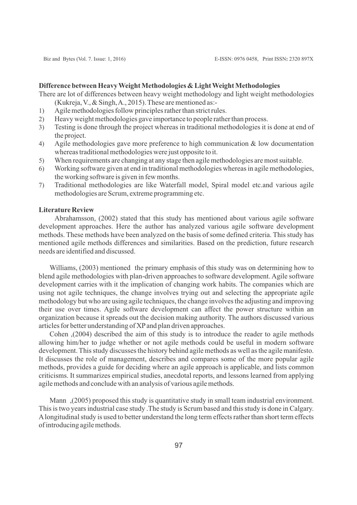# **Difference between Heavy Weight Methodologies & Light Weight Methodologies**

There are lot of differences between heavy weight methodology and light weight methodologies (Kukreja, V., & Singh, A., 2015). These are mentioned as:-

- 1) Agile methodologies follow principles rather than strict rules.
- 2) Heavy weight methodologies gave importance to people rather than process.
- 3) Testing is done through the project whereas in traditional methodologies it is done at end of the project.
- 4) Agile methodologies gave more preference to high communication & low documentation whereas traditional methodologies were just opposite to it.
- 5) When requirements are changing at any stage then agile methodologies are most suitable.
- 6) Working software given at end in traditional methodologies whereas in agile methodologies, the working software is given in few months.
- 7) Traditional methodologies are like Waterfall model, Spiral model etc.and various agile methodologies are Scrum, extreme programming etc.

#### **Literature Review**

Abrahamsson, (2002) stated that this study has mentioned about various agile software development approaches. Here the author has analyzed various agile software development methods. These methods have been analyzed on the basis of some defined criteria. This study has mentioned agile methods differences and similarities. Based on the prediction, future research needs are identified and discussed.

Williams, (2003) mentioned the primary emphasis of this study was on determining how to blend agile methodologies with plan-driven approaches to software development. Agile software development carries with it the implication of changing work habits. The companies which are using not agile techniques, the change involves trying out and selecting the appropriate agile methodology but who are using agile techniques, the change involves the adjusting and improving their use over times. Agile software development can affect the power structure within an organization because it spreads out the decision making authority. The authors discussed various articles for better understanding of XPand plan driven approaches.

Cohen ,(2004) described the aim of this study is to introduce the reader to agile methods allowing him/her to judge whether or not agile methods could be useful in modern software development. This study discusses the history behind agile methods as well as the agile manifesto. It discusses the role of management, describes and compares some of the more popular agile methods, provides a guide for deciding where an agile approach is applicable, and lists common criticisms. It summarizes empirical studies, anecdotal reports, and lessons learned from applying agile methods and conclude with an analysis of various agile methods.

Mann (2005) proposed this study is quantitative study in small team industrial environment. This is two years industrial case study .The study is Scrum based and this study is done in Calgary. Alongitudinal study is used to better understand the long term effects rather than short term effects of introducing agile methods.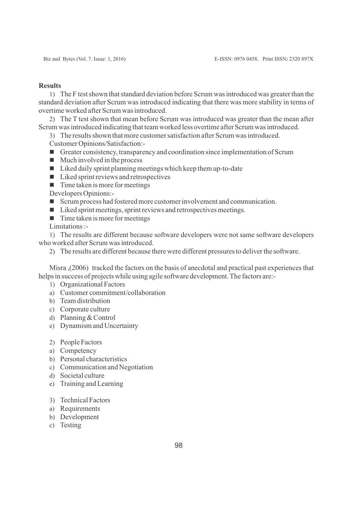#### **Results**

1) The F test shown that standard deviation before Scrum was introduced was greater than the standard deviation after Scrum was introduced indicating that there was more stability in terms of overtime worked after Scrum was introduced.

2) The T test shown that mean before Scrum was introduced was greater than the mean after Scrum was introduced indicating that team worked less overtime after Scrum was introduced.

3) The results shown that more customer satisfaction after Scrum was introduced.

- Customer Opinions/Satisfaction:-
- Greater consistency, transparency and coordination since implementation of Scrum
- $\blacksquare$  Much involved in the process
- $\blacksquare$  Liked daily sprint planning meetings which keep them up-to-date
- $\blacksquare$  Liked sprint reviews and retrospectives
- $\blacksquare$  Time taken is more for meetings

Developers Opinions:-

- n Scrum process had fostered more customer involvement and communication.
- $\blacksquare$  Liked sprint meetings, sprint reviews and retrospectives meetings.
- $\blacksquare$  Time taken is more for meetings

Limitations :-

1) The results are different because software developers were not same software developers who worked after Scrum was introduced.

2) The results are different because there were different pressures to deliver the software.

Misra ,(2006) tracked the factors on the basis of anecdotal and practical past experiences that helps in success of projects while using agile software development. The factors are:-

- 1) Organizational Factors
- a) Customer commitment/collaboration
- b) Team distribution
- c) Corporate culture
- d) Planning & Control
- e) Dynamism and Uncertainty
- 2) People Factors
- a) Competency
- b) Personal characteristics
- c) Communication and Negotiation
- d) Societal culture
- e) Training and Learning
- 3) Technical Factors
- a) Requirements
- b) Development
- c) Testing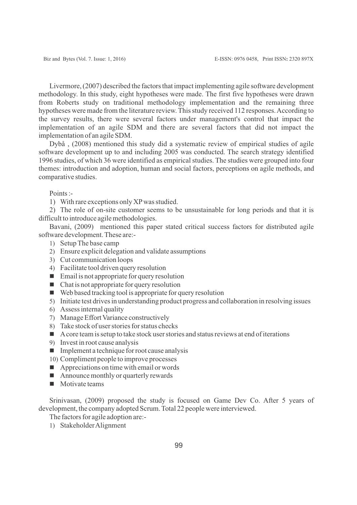Livermore, (2007) described the factors that impact implementing agile software development methodology. In this study, eight hypotheses were made. The first five hypotheses were drawn from Roberts study on traditional methodology implementation and the remaining three hypotheses were made from the literature review. This study received 112 responses. According to the survey results, there were several factors under management's control that impact the implementation of an agile SDM and there are several factors that did not impact the implementation of an agile SDM.

Dybå , (2008) mentioned this study did a systematic review of empirical studies of agile software development up to and including 2005 was conducted. The search strategy identified 1996 studies, of which 36 were identified as empirical studies. The studies were grouped into four themes: introduction and adoption, human and social factors, perceptions on agile methods, and comparative studies.

Points :-

1) With rare exceptions only XPwas studied.

2) The role of on-site customer seems to be unsustainable for long periods and that it is difficult to introduce agile methodologies.

Bavani, (2009) mentioned this paper stated critical success factors for distributed agile software development. These are:-

- 1) Setup The base camp
- 2) Ensure explicit delegation and validate assumptions
- 3) Cut communication loops
- 4) Facilitate tool driven query resolution
- $\blacksquare$  Email is not appropriate for query resolution
- $\blacksquare$  Chat is not appropriate for query resolution
- $\blacksquare$  Web based tracking tool is appropriate for query resolution
- 5) Initiate test drives in understanding product progress and collaboration in resolving issues
- 6) Assess internal quality
- 7) Manage Effort Variance constructively
- 8) Take stock of user stories for status checks
- $\blacksquare$  A core team is setup to take stock user stories and status reviews at end of iterations
- 9) Invest in root cause analysis
- $\blacksquare$  Implement a technique for root cause analysis
- 10) Compliment people to improve processes
- $\blacksquare$  Appreciations on time with email or words
- $\blacksquare$  Announce monthly or quarterly rewards
- $\blacksquare$  Motivate teams

Srinivasan, (2009) proposed the study is focused on Game Dev Co. After 5 years of development, the company adopted Scrum. Total 22 people were interviewed.

The factors for agile adoption are:-

1) Stakeholder Alignment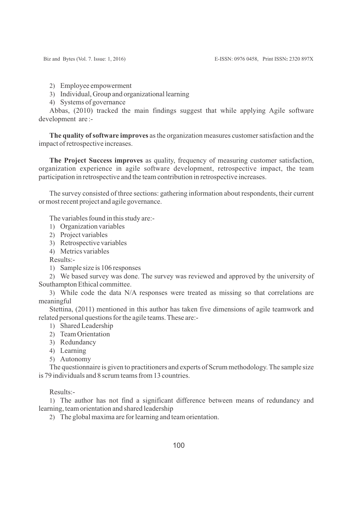- 2) Employee empowerment
- 3) Individual, Group and organizational learning
- 4) Systems of governance

Abbas, (2010) tracked the main findings suggest that while applying Agile software development are :-

**The quality of software improves** as the organization measures customer satisfaction and the impact of retrospective increases.

**The Project Success improves** as quality, frequency of measuring customer satisfaction, organization experience in agile software development, retrospective impact, the team participation in retrospective and the team contribution in retrospective increases.

The survey consisted of three sections: gathering information about respondents, their current or most recent project and agile governance.

The variables found in this study are:-

- 1) Organization variables
- 2) Project variables
- 3) Retrospective variables
- 4) Metrics variables

Results:-

1) Sample size is 106 responses

2) We based survey was done. The survey was reviewed and approved by the university of Southampton Ethical committee.

3) While code the data N/A responses were treated as missing so that correlations are meaningful

Stettina, (2011) mentioned in this author has taken five dimensions of agile teamwork and related personal questions for the agile teams. These are:-

- 1) Shared Leadership
- 2) Team Orientation
- 3) Redundancy
- 4) Learning
- 5) Autonomy

The questionnaire is given to practitioners and experts of Scrum methodology. The sample size is 79 individuals and 8 scrum teams from 13 countries.

Results:-

1) The author has not find a significant difference between means of redundancy and learning, team orientation and shared leadership

2) The global maxima are for learning and team orientation.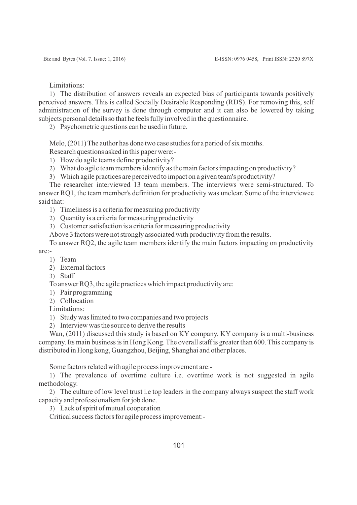Limitations:

1) The distribution of answers reveals an expected bias of participants towards positively perceived answers. This is called Socially Desirable Responding (RDS). For removing this, self administration of the survey is done through computer and it can also be lowered by taking subjects personal details so that he feels fully involved in the questionnaire.

2) Psychometric questions can be used in future.

Melo, (2011) The author has done two case studies for a period of six months.

Research questions asked in this paper were:-

1) How do agile teams define productivity?

2) What do agile team members identify as the main factors impacting on productivity?

3) Which agile practices are perceived to impact on a given team's productivity?

The researcher interviewed 13 team members. The interviews were semi-structured. To answer RQ1, the team member's definition for productivity was unclear. Some of the interviewee said that:-

1) Timeliness is a criteria for measuring productivity

2) Quantity is a criteria for measuring productivity

3) Customer satisfaction is a criteria for measuring productivity

Above 3 factors were not strongly associated with productivity from the results.

To answer RQ2, the agile team members identify the main factors impacting on productivity are:-

- 1) Team
- 2) External factors
- 3) Staff

To answer RQ3, the agile practices which impact productivity are:

1) Pair programming

2) Collocation

Limitations:

1) Study was limited to two companies and two projects

2) Interview was the source to derive the results

Wan, (2011) discussed this study is based on KY company. KY company is a multi-business company. Its main business is in Hong Kong. The overall staff is greater than 600. This company is distributed in Hong kong, Guangzhou, Beijing, Shanghai and other places.

Some factors related with agile process improvement are:-

1) The prevalence of overtime culture i.e. overtime work is not suggested in agile methodology.

2) The culture of low level trust i.e top leaders in the company always suspect the staff work capacity and professionalism for job done.

3) Lack of spirit of mutual cooperation

Critical success factors for agile process improvement:-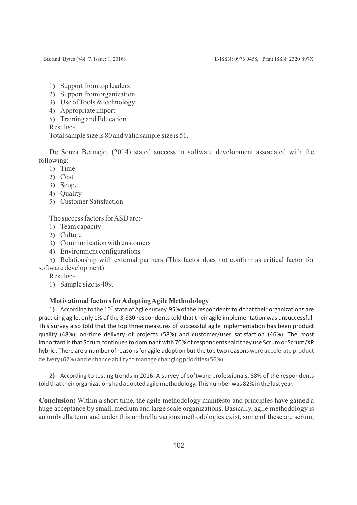- 1) Support from top leaders
- 2) Support from organization
- 3) Use of Tools & technology
- 4) Appropriate import
- 5) Training and Education

Results:-

Total sample size is 80 and valid sample size is 51.

De Souza Bermejo, (2014) stated success in software development associated with the following:-

- 1) Time
- 2) Cost
- 3) Scope
- 4) Quality
- 5) Customer Satisfaction

The success factors for ASD are:-

- 1) Team capacity
- 2) Culture
- 3) Communication with customers
- 4) Environment configurations

5) Relationship with external partners (This factor does not confirm as critical factor for software development)

Results:-

1) Sample size is 409.

### **Motivational factors forAdopting Agile Methodology**

1) According to the  $10<sup>th</sup>$  state of Agile survey, 95% of the respondents told that their organizations are practicing agile, only 1% of the 3,880 respondents told that their agile implementation was unsuccessful. This survey also told that the top three measures of successful agile implementation has been product quality (48%), on-time delivery of projects (58%) and customer/user satisfaction (46%). The most important is that Scrum continues to dominant with 70% of respondents said they use Scrum or Scrum/XP hybrid. There are a number of reasons for agile adoption but the top two reasons were accelerate product delivery (62%) and enhance ability to manage changing priorities (56%).

2) According to testing trends in 2016: A survey of software professionals, 88% of the respondents told that their organizations had adopted agile methodology. This number was 82% in the last year.

**Conclusion:** Within a short time, the agile methodology manifesto and principles have gained a huge acceptance by small, medium and large scale organizations. Basically, agile methodology is an umbrella term and under this umbrella various methodologies exist, some of these are scrum,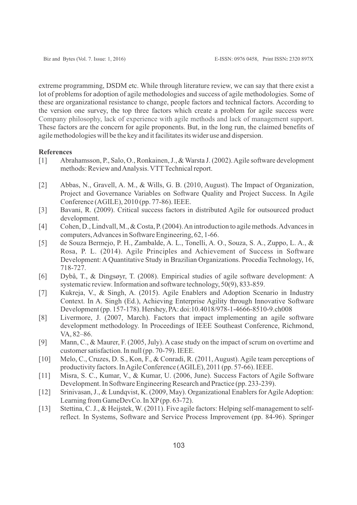extreme programming, DSDM etc. While through literature review, we can say that there exist a lot of problems for adoption of agile methodologies and success of agile methodologies. Some of these are organizational resistance to change, people factors and technical factors. According to the version one survey, the top three factors which create a problem for agile success were Company philosophy, lack of experience with agile methods and lack of management support. These factors are the concern for agile proponents. But, in the long run, the claimed benefits of agile methodologies will be the key and it facilitates its wider use and dispersion.

#### **References**

- [1] Abrahamsson, P., Salo, O., Ronkainen, J., & Warsta J. (2002). Agile software development methods: Review and Analysis. VTT Technical report.
- [2] Abbas, N., Gravell, A. M., & Wills, G. B. (2010, August). The Impact of Organization, Project and Governance Variables on Software Quality and Project Success. In Agile Conference (AGILE), 2010 (pp. 77-86). IEEE.
- [3] Bavani, R. (2009). Critical success factors in distributed Agile for outsourced product development.
- [4] Cohen, D., Lindvall, M., & Costa, P. (2004). An introduction to agile methods. Advances in computers, Advances in Software Engineering, 62, 1-66.
- [5] de Souza Bermejo, P. H., Zambalde, A. L., Tonelli, A. O., Souza, S. A., Zuppo, L. A., & Rosa, P. L. (2014). Agile Principles and Achievement of Success in Software Development: AQuantitative Study in Brazilian Organizations. Procedia Technology, 16, 718-727.
- [6] Dybå, T., & Dingsøyr, T. (2008). Empirical studies of agile software development: A systematic review. Information and software technology, 50(9), 833-859.
- [7] Kukreja, V., & Singh, A. (2015). Agile Enablers and Adoption Scenario in Industry Context. In A. Singh (Ed.), Achieving Enterprise Agility through Innovative Software Development (pp. 157-178). Hershey, PA: doi:10.4018/978-1-4666-8510-9.ch008
- [8] Livermore, J. (2007, March). Factors that impact implementing an agile software development methodology. In Proceedings of IEEE Southeast Conference, Richmond, VA, 82–86.
- [9] Mann, C., & Maurer, F. (2005, July). A case study on the impact of scrum on overtime and customer satisfaction. In null (pp. 70-79). IEEE.
- [10] Melo, C., Cruzes, D. S., Kon, F., & Conradi, R. (2011, August). Agile team perceptions of productivity factors. In Agile Conference (AGILE), 2011 (pp. 57-66). IEEE.
- [11] Misra, S. C., Kumar, V., & Kumar, U. (2006, June). Success Factors of Agile Software Development. In Software Engineering Research and Practice (pp. 233-239).
- [12] Srinivasan, J., & Lundqvist, K. (2009, May). Organizational Enablers for Agile Adoption: Learning from GameDevCo. In XP(pp. 63-72).
- [13] Stettina, C. J., & Heijstek, W. (2011). Five agile factors: Helping self-management to selfreflect. In Systems, Software and Service Process Improvement (pp. 84-96). Springer